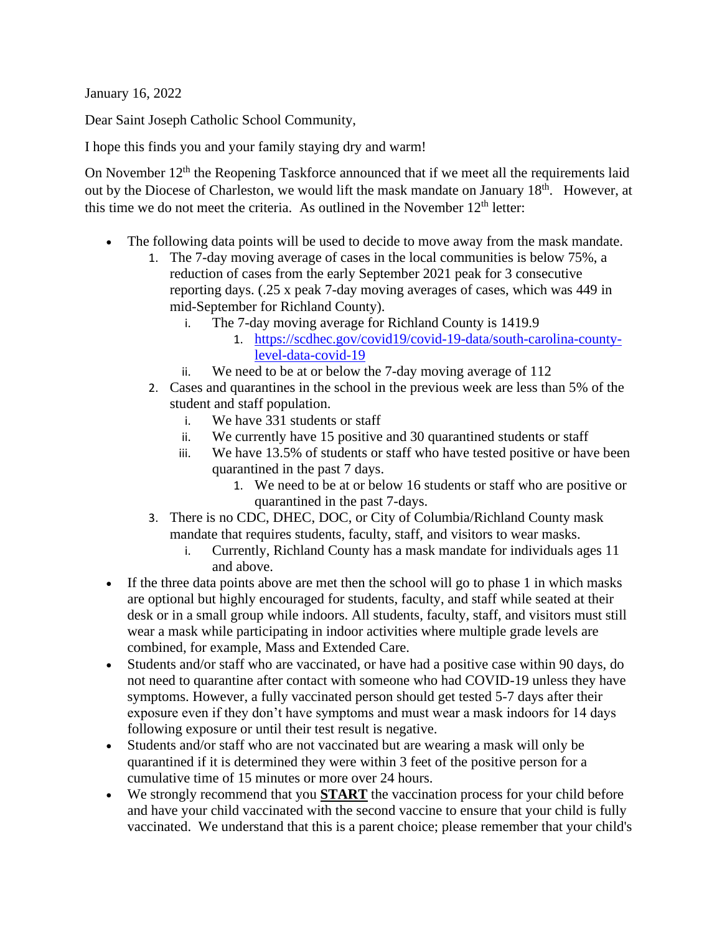January 16, 2022

Dear Saint Joseph Catholic School Community,

I hope this finds you and your family staying dry and warm!

On November  $12<sup>th</sup>$  the Reopening Taskforce announced that if we meet all the requirements laid out by the Diocese of Charleston, we would lift the mask mandate on January  $18<sup>th</sup>$ . However, at this time we do not meet the criteria. As outlined in the November  $12<sup>th</sup>$  letter:

- The following data points will be used to decide to move away from the mask mandate.
	- 1. The 7-day moving average of cases in the local communities is below 75%, a reduction of cases from the early September 2021 peak for 3 consecutive reporting days. (.25 x peak 7-day moving averages of cases, which was 449 in mid-September for Richland County).
		- i. The 7-day moving average for Richland County is 1419.9
			- 1. [https://scdhec.gov/covid19/covid-19-data/south-carolina-county](https://scdhec.gov/covid19/covid-19-data/south-carolina-county-level-data-covid-19)[level-data-covid-19](https://scdhec.gov/covid19/covid-19-data/south-carolina-county-level-data-covid-19)
		- ii. We need to be at or below the 7-day moving average of 112
	- 2. Cases and quarantines in the school in the previous week are less than 5% of the student and staff population.
		- i. We have 331 students or staff
		- ii. We currently have 15 positive and 30 quarantined students or staff
		- iii. We have 13.5% of students or staff who have tested positive or have been quarantined in the past 7 days.
			- 1. We need to be at or below 16 students or staff who are positive or quarantined in the past 7-days.
	- 3. There is no CDC, DHEC, DOC, or City of Columbia/Richland County mask mandate that requires students, faculty, staff, and visitors to wear masks.
		- i. Currently, Richland County has a mask mandate for individuals ages 11 and above.
- If the three data points above are met then the school will go to phase 1 in which masks are optional but highly encouraged for students, faculty, and staff while seated at their desk or in a small group while indoors. All students, faculty, staff, and visitors must still wear a mask while participating in indoor activities where multiple grade levels are combined, for example, Mass and Extended Care.
- Students and/or staff who are vaccinated, or have had a positive case within 90 days, do not need to quarantine after contact with someone who had COVID-19 unless they have symptoms. However, a fully vaccinated person should get tested 5-7 days after their exposure even if they don't have symptoms and must wear a mask indoors for 14 days following exposure or until their test result is negative.
- Students and/or staff who are not vaccinated but are wearing a mask will only be quarantined if it is determined they were within 3 feet of the positive person for a cumulative time of 15 minutes or more over 24 hours.
- We strongly recommend that you **START** the vaccination process for your child before and have your child vaccinated with the second vaccine to ensure that your child is fully vaccinated. We understand that this is a parent choice; please remember that your child's